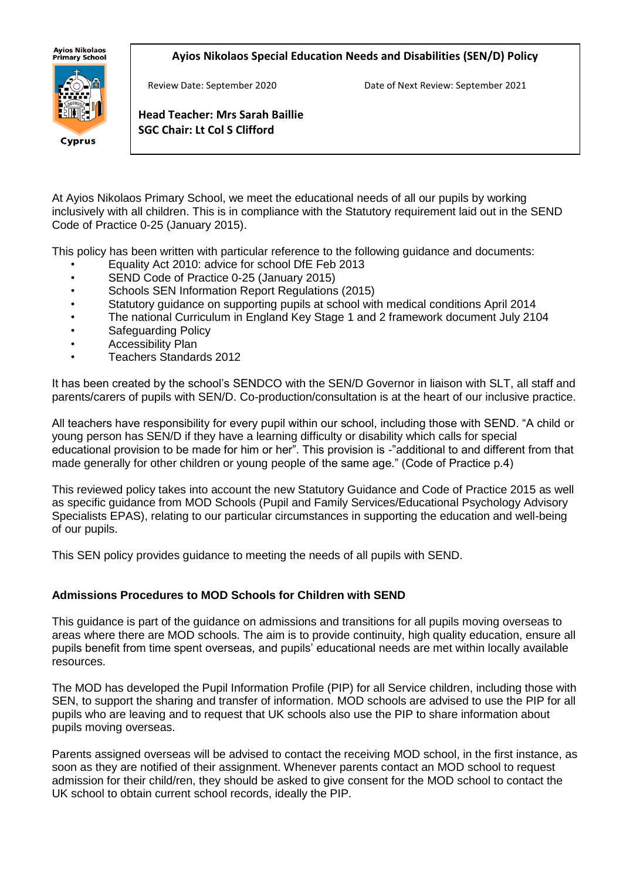## **Ayios Nikolaos Special Education Needs and Disabilities (SEN/D) Policy**



Cyprus

**Ayios Nikolaos** 

**Head Teacher: Mrs Sarah Baillie SGC Chair: Lt Col S Clifford**

At Ayios Nikolaos Primary School, we meet the educational needs of all our pupils by working inclusively with all children. This is in compliance with the Statutory requirement laid out in the SEND Code of Practice 0-25 (January 2015).

This policy has been written with particular reference to the following guidance and documents:

- Equality Act 2010: advice for school DfE Feb 2013
- SEND Code of Practice 0-25 (January 2015)
- Schools SEN Information Report Regulations (2015)
- Statutory guidance on supporting pupils at school with medical conditions April 2014
- The national Curriculum in England Key Stage 1 and 2 framework document July 2104
- Safeguarding Policy
- Accessibility Plan
- Teachers Standards 2012

It has been created by the school's SENDCO with the SEN/D Governor in liaison with SLT, all staff and parents/carers of pupils with SEN/D. Co-production/consultation is at the heart of our inclusive practice.

All teachers have responsibility for every pupil within our school, including those with SEND. "A child or young person has SEN/D if they have a learning difficulty or disability which calls for special educational provision to be made for him or her". This provision is -"additional to and different from that made generally for other children or young people of the same age." (Code of Practice p.4)

This reviewed policy takes into account the new Statutory Guidance and Code of Practice 2015 as well as specific guidance from MOD Schools (Pupil and Family Services/Educational Psychology Advisory Specialists EPAS), relating to our particular circumstances in supporting the education and well-being of our pupils.

This SEN policy provides guidance to meeting the needs of all pupils with SEND.

## **Admissions Procedures to MOD Schools for Children with SEND**

This guidance is part of the guidance on admissions and transitions for all pupils moving overseas to areas where there are MOD schools. The aim is to provide continuity, high quality education, ensure all pupils benefit from time spent overseas, and pupils' educational needs are met within locally available resources.

The MOD has developed the Pupil Information Profile (PIP) for all Service children, including those with SEN, to support the sharing and transfer of information. MOD schools are advised to use the PIP for all pupils who are leaving and to request that UK schools also use the PIP to share information about pupils moving overseas.

Parents assigned overseas will be advised to contact the receiving MOD school, in the first instance, as soon as they are notified of their assignment. Whenever parents contact an MOD school to request admission for their child/ren, they should be asked to give consent for the MOD school to contact the UK school to obtain current school records, ideally the PIP.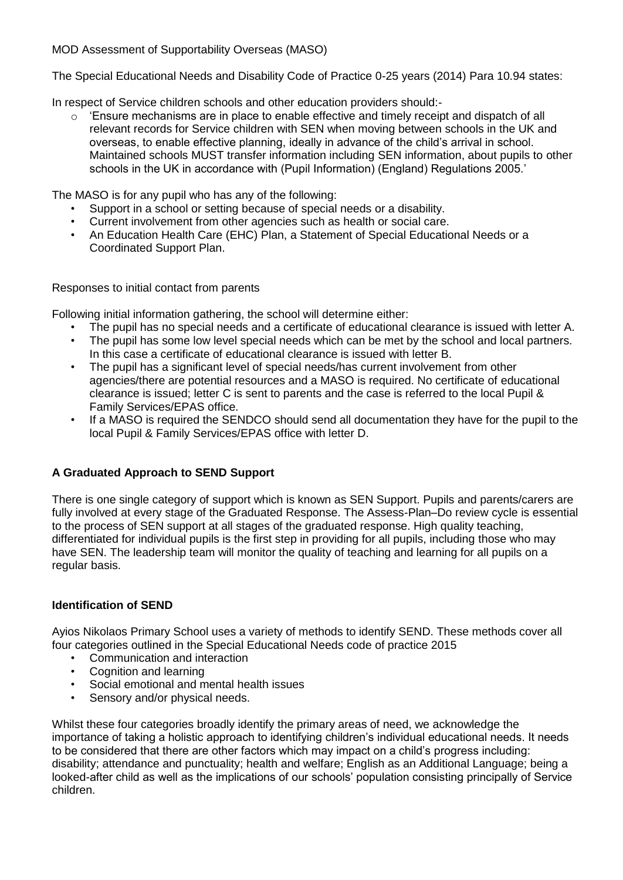MOD Assessment of Supportability Overseas (MASO)

The Special Educational Needs and Disability Code of Practice 0-25 years (2014) Para 10.94 states:

In respect of Service children schools and other education providers should:-

 $\circ$  'Ensure mechanisms are in place to enable effective and timely receipt and dispatch of all relevant records for Service children with SEN when moving between schools in the UK and overseas, to enable effective planning, ideally in advance of the child's arrival in school. Maintained schools MUST transfer information including SEN information, about pupils to other schools in the UK in accordance with (Pupil Information) (England) Regulations 2005.'

The MASO is for any pupil who has any of the following:

- Support in a school or setting because of special needs or a disability.
- Current involvement from other agencies such as health or social care.
- An Education Health Care (EHC) Plan, a Statement of Special Educational Needs or a Coordinated Support Plan.

Responses to initial contact from parents

Following initial information gathering, the school will determine either:

- The pupil has no special needs and a certificate of educational clearance is issued with letter A.
- The pupil has some low level special needs which can be met by the school and local partners. In this case a certificate of educational clearance is issued with letter B.
- The pupil has a significant level of special needs/has current involvement from other agencies/there are potential resources and a MASO is required. No certificate of educational clearance is issued; letter C is sent to parents and the case is referred to the local Pupil & Family Services/EPAS office.
- If a MASO is required the SENDCO should send all documentation they have for the pupil to the local Pupil & Family Services/EPAS office with letter D.

# **A Graduated Approach to SEND Support**

There is one single category of support which is known as SEN Support. Pupils and parents/carers are fully involved at every stage of the Graduated Response. The Assess-Plan–Do review cycle is essential to the process of SEN support at all stages of the graduated response. High quality teaching, differentiated for individual pupils is the first step in providing for all pupils, including those who may have SEN. The leadership team will monitor the quality of teaching and learning for all pupils on a regular basis.

# **Identification of SEND**

Ayios Nikolaos Primary School uses a variety of methods to identify SEND. These methods cover all four categories outlined in the Special Educational Needs code of practice 2015

- Communication and interaction
- Cognition and learning
- Social emotional and mental health issues
- Sensory and/or physical needs.

Whilst these four categories broadly identify the primary areas of need, we acknowledge the importance of taking a holistic approach to identifying children's individual educational needs. It needs to be considered that there are other factors which may impact on a child's progress including: disability; attendance and punctuality; health and welfare; English as an Additional Language; being a looked-after child as well as the implications of our schools' population consisting principally of Service children.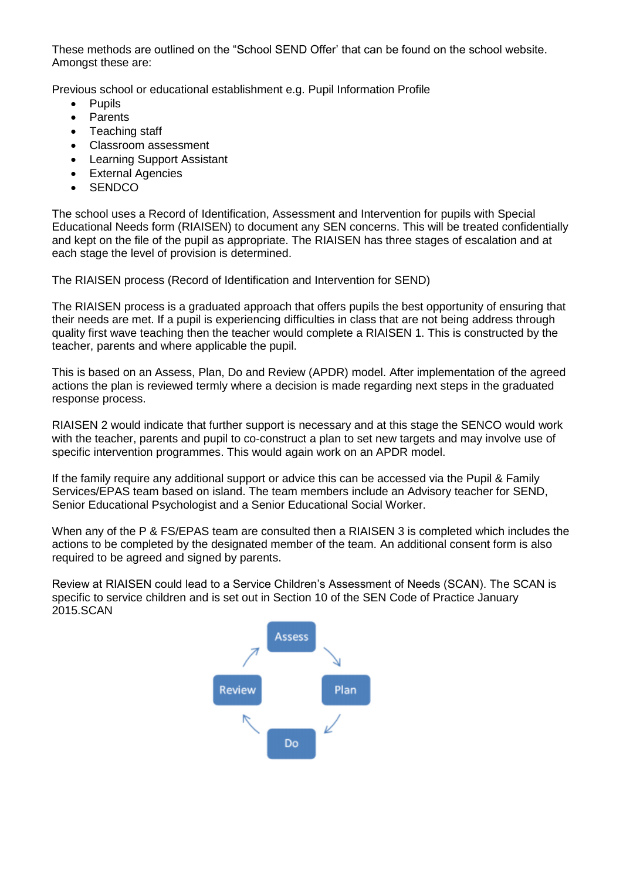These methods are outlined on the "School SEND Offer' that can be found on the school website. Amongst these are:

Previous school or educational establishment e.g. Pupil Information Profile

- Pupils
- **Parents**
- Teaching staff
- Classroom assessment
- Learning Support Assistant
- External Agencies
- **SENDCO**

The school uses a Record of Identification, Assessment and Intervention for pupils with Special Educational Needs form (RIAISEN) to document any SEN concerns. This will be treated confidentially and kept on the file of the pupil as appropriate. The RIAISEN has three stages of escalation and at each stage the level of provision is determined.

The RIAISEN process (Record of Identification and Intervention for SEND)

The RIAISEN process is a graduated approach that offers pupils the best opportunity of ensuring that their needs are met. If a pupil is experiencing difficulties in class that are not being address through quality first wave teaching then the teacher would complete a RIAISEN 1. This is constructed by the teacher, parents and where applicable the pupil.

This is based on an Assess, Plan, Do and Review (APDR) model. After implementation of the agreed actions the plan is reviewed termly where a decision is made regarding next steps in the graduated response process.

RIAISEN 2 would indicate that further support is necessary and at this stage the SENCO would work with the teacher, parents and pupil to co-construct a plan to set new targets and may involve use of specific intervention programmes. This would again work on an APDR model.

If the family require any additional support or advice this can be accessed via the Pupil & Family Services/EPAS team based on island. The team members include an Advisory teacher for SEND, Senior Educational Psychologist and a Senior Educational Social Worker.

When any of the P & FS/EPAS team are consulted then a RIAISEN 3 is completed which includes the actions to be completed by the designated member of the team. An additional consent form is also required to be agreed and signed by parents.

Review at RIAISEN could lead to a Service Children's Assessment of Needs (SCAN). The SCAN is specific to service children and is set out in Section 10 of the SEN Code of Practice January 2015.SCAN

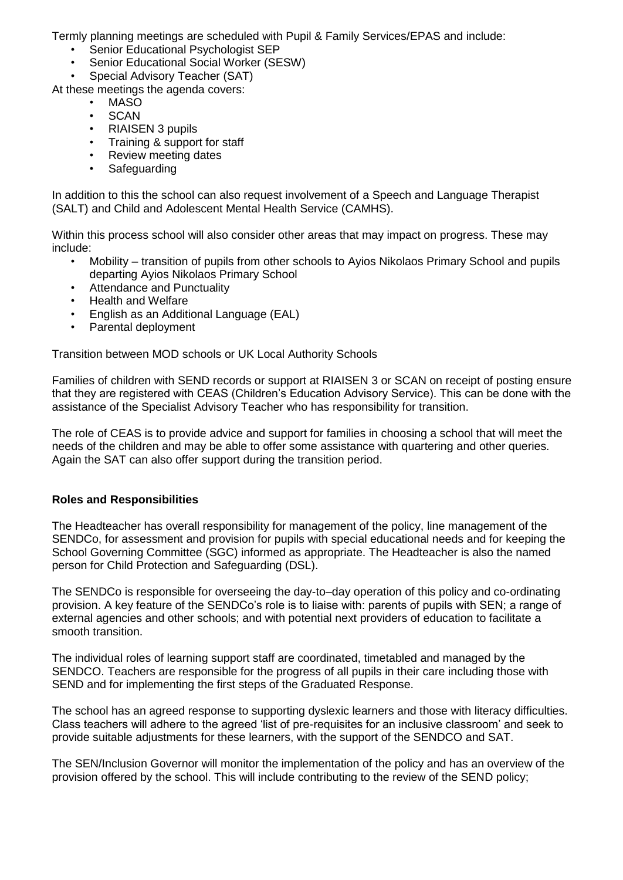Termly planning meetings are scheduled with Pupil & Family Services/EPAS and include:

- Senior Educational Psychologist SEP
- Senior Educational Social Worker (SESW)
- Special Advisory Teacher (SAT)
- At these meetings the agenda covers:
	- MASO
	- **SCAN**
	- RIAISEN 3 pupils
	- Training & support for staff
	- Review meeting dates
	- **Safeguarding**

In addition to this the school can also request involvement of a Speech and Language Therapist (SALT) and Child and Adolescent Mental Health Service (CAMHS).

Within this process school will also consider other areas that may impact on progress. These may include:

- Mobility transition of pupils from other schools to Ayios Nikolaos Primary School and pupils departing Ayios Nikolaos Primary School
- Attendance and Punctuality
- Health and Welfare
- English as an Additional Language (EAL)
- Parental deployment

Transition between MOD schools or UK Local Authority Schools

Families of children with SEND records or support at RIAISEN 3 or SCAN on receipt of posting ensure that they are registered with CEAS (Children's Education Advisory Service). This can be done with the assistance of the Specialist Advisory Teacher who has responsibility for transition.

The role of CEAS is to provide advice and support for families in choosing a school that will meet the needs of the children and may be able to offer some assistance with quartering and other queries. Again the SAT can also offer support during the transition period.

## **Roles and Responsibilities**

The Headteacher has overall responsibility for management of the policy, line management of the SENDCo, for assessment and provision for pupils with special educational needs and for keeping the School Governing Committee (SGC) informed as appropriate. The Headteacher is also the named person for Child Protection and Safeguarding (DSL).

The SENDCo is responsible for overseeing the day-to–day operation of this policy and co-ordinating provision. A key feature of the SENDCo's role is to liaise with: parents of pupils with SEN; a range of external agencies and other schools; and with potential next providers of education to facilitate a smooth transition.

The individual roles of learning support staff are coordinated, timetabled and managed by the SENDCO. Teachers are responsible for the progress of all pupils in their care including those with SEND and for implementing the first steps of the Graduated Response.

The school has an agreed response to supporting dyslexic learners and those with literacy difficulties. Class teachers will adhere to the agreed 'list of pre-requisites for an inclusive classroom' and seek to provide suitable adjustments for these learners, with the support of the SENDCO and SAT.

The SEN/Inclusion Governor will monitor the implementation of the policy and has an overview of the provision offered by the school. This will include contributing to the review of the SEND policy;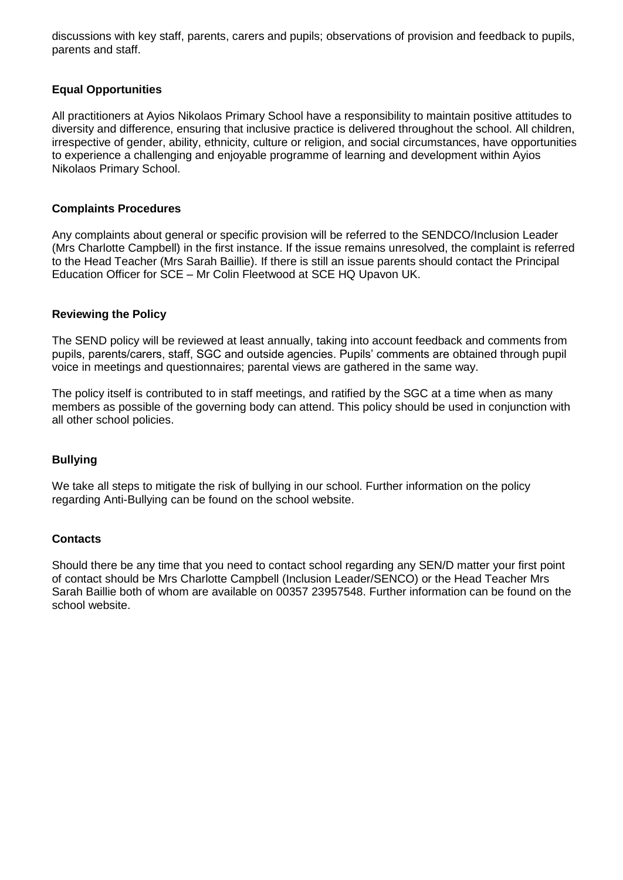discussions with key staff, parents, carers and pupils; observations of provision and feedback to pupils, parents and staff.

## **Equal Opportunities**

All practitioners at Ayios Nikolaos Primary School have a responsibility to maintain positive attitudes to diversity and difference, ensuring that inclusive practice is delivered throughout the school. All children, irrespective of gender, ability, ethnicity, culture or religion, and social circumstances, have opportunities to experience a challenging and enjoyable programme of learning and development within Ayios Nikolaos Primary School.

## **Complaints Procedures**

Any complaints about general or specific provision will be referred to the SENDCO/Inclusion Leader (Mrs Charlotte Campbell) in the first instance. If the issue remains unresolved, the complaint is referred to the Head Teacher (Mrs Sarah Baillie). If there is still an issue parents should contact the Principal Education Officer for SCE – Mr Colin Fleetwood at SCE HQ Upavon UK.

## **Reviewing the Policy**

The SEND policy will be reviewed at least annually, taking into account feedback and comments from pupils, parents/carers, staff, SGC and outside agencies. Pupils' comments are obtained through pupil voice in meetings and questionnaires; parental views are gathered in the same way.

The policy itself is contributed to in staff meetings, and ratified by the SGC at a time when as many members as possible of the governing body can attend. This policy should be used in conjunction with all other school policies.

# **Bullying**

We take all steps to mitigate the risk of bullying in our school. Further information on the policy regarding Anti-Bullying can be found on the school website.

## **Contacts**

Should there be any time that you need to contact school regarding any SEN/D matter your first point of contact should be Mrs Charlotte Campbell (Inclusion Leader/SENCO) or the Head Teacher Mrs Sarah Baillie both of whom are available on 00357 23957548. Further information can be found on the school website.